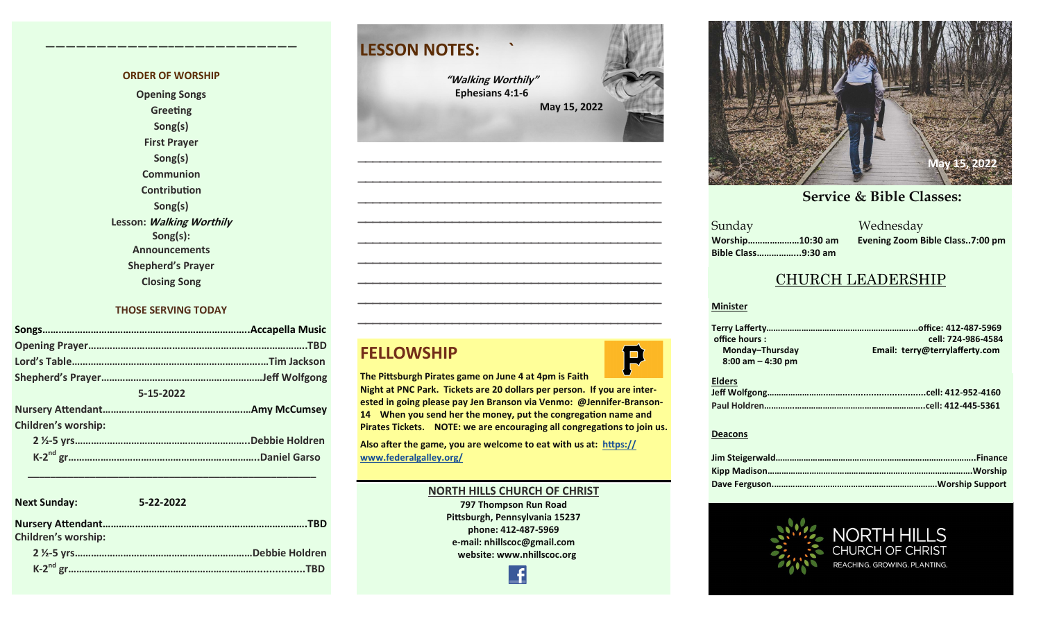#### **ORDER OF WORSHIP**

**————————————–————————————**

**Opening Songs Greeting Song(s) First Prayer Song(s) Communion Contribution Song(s) Lesson: Walking Worthily Song(s): Announcements Shepherd's Prayer Closing Song**

#### **THOSE SERVING TODAY**

| 5-15-2022                  |  |
|----------------------------|--|
|                            |  |
| <b>Children's worship:</b> |  |
|                            |  |
|                            |  |

| <b>Next Sunday:</b>        | 5-22-2022       |
|----------------------------|-----------------|
| <b>Children's worship:</b> | <b>TRD</b>      |
|                            | .Debbie Holdren |
|                            |                 |

 **\_\_\_\_\_\_\_\_\_\_\_\_\_\_\_\_\_\_\_\_\_\_\_\_\_\_\_\_\_\_\_\_\_\_\_\_\_\_\_\_\_\_\_\_\_\_\_\_\_\_\_**

### **LESSON NOTES: `**

**"Walking Worthily" Ephesians 4:1-6 May 15, 2022**

**—————————————————————————————————————————— —————————————————————————————————————————— —————————————————————————————————————————— —————————————————————————————————————————— —————————————————————————————————————————— —————————————————————————————————————————— —————————————————————————————————————————— —————————————————————————————————————————— ——————————————————————————————————————————**

### **FELLOWSHIP**

**The Pittsburgh Pirates game on June 4 at 4pm is Faith** 

**Night at PNC Park. Tickets are 20 dollars per person. If you are interested in going please pay Jen Branson via Venmo: @Jennifer-Branson-14 When you send her the money, put the congregation name and Pirates Tickets. NOTE: we are encouraging all congregations to join us.** 

**Also after the game, you are welcome to eat with us at: [https://](https://www.federalgalley.org/) [www.federalgalley.org/](https://www.federalgalley.org/)**

#### **NORTH HILLS CHURCH OF CHRIST**

**797 Thompson Run Road Pittsburgh, Pennsylvania 15237 phone: 412-487-5969 e-mail: nhillscoc@gmail.com website: www.nhillscoc.org** 



#### **October 29, 2017 November 5, 2017 November 12, 2017 November 26, 2017 December 24, 2017 January 24, 2017**

**December 17, 2017 December 29, 2019 February 9, 2020 January 26, 2020 February 23, 2020 March 1, 2020 April 5, 2020** Sunday Wednesday **March 18, 2018 January 28, 2018 February 4, 2018 January 21, 2018 Sunday Bible Class……………...9:30 am**

**Worship…………………10:30 am Evening Zoom Bible Class..7:00 pm**

 $\overline{\phantom{a}}$  S

#### CHURCH LEADERSHIP

#### **Minister**

P

| office hours:         | cell: 724-986-4584             |
|-----------------------|--------------------------------|
| Monday-Thursday       | Email: terry@terrylafferty.com |
| $8:00$ am $-$ 4:30 pm |                                |
|                       |                                |
| <b>Elders</b>         |                                |
|                       |                                |
|                       |                                |
|                       |                                |

#### **Deacons**